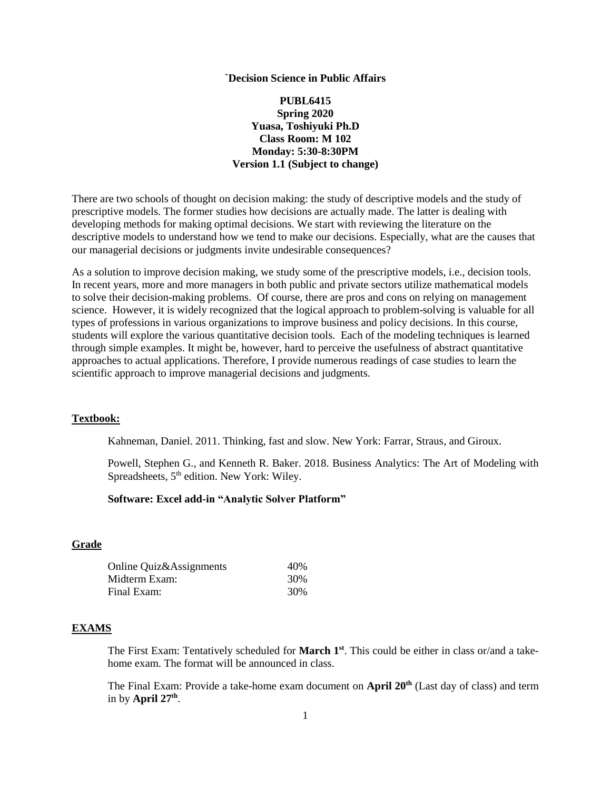#### **`Decision Science in Public Affairs**

# **PUBL6415 Spring 2020 Yuasa, Toshiyuki Ph.D Class Room: M 102 Monday: 5:30-8:30PM Version 1.1 (Subject to change)**

There are two schools of thought on decision making: the study of descriptive models and the study of prescriptive models. The former studies how decisions are actually made. The latter is dealing with developing methods for making optimal decisions. We start with reviewing the literature on the descriptive models to understand how we tend to make our decisions. Especially, what are the causes that our managerial decisions or judgments invite undesirable consequences?

As a solution to improve decision making, we study some of the prescriptive models, i.e., decision tools. In recent years, more and more managers in both public and private sectors utilize mathematical models to solve their decision-making problems. Of course, there are pros and cons on relying on management science. However, it is widely recognized that the logical approach to problem-solving is valuable for all types of professions in various organizations to improve business and policy decisions. In this course, students will explore the various quantitative decision tools. Each of the modeling techniques is learned through simple examples. It might be, however, hard to perceive the usefulness of abstract quantitative approaches to actual applications. Therefore, I provide numerous readings of case studies to learn the scientific approach to improve managerial decisions and judgments.

## **Textbook:**

Kahneman, Daniel. 2011. Thinking, fast and slow. New York: Farrar, Straus, and Giroux.

Powell, Stephen G., and Kenneth R. Baker. 2018. Business Analytics: The Art of Modeling with Spreadsheets, 5<sup>th</sup> edition. New York: Wiley.

## **Software: Excel add-in "Analytic Solver Platform"**

## **Grade**

| Online Quiz&Assignments | 40\% |
|-------------------------|------|
| Midterm Exam:           | 30%  |
| Final Exam:             | 30%  |

## **EXAMS**

The First Exam: Tentatively scheduled for **March 1st**. This could be either in class or/and a takehome exam. The format will be announced in class.

The Final Exam: Provide a take-home exam document on **April 20<sup>th</sup>** (Last day of class) and term in by **April 27th** .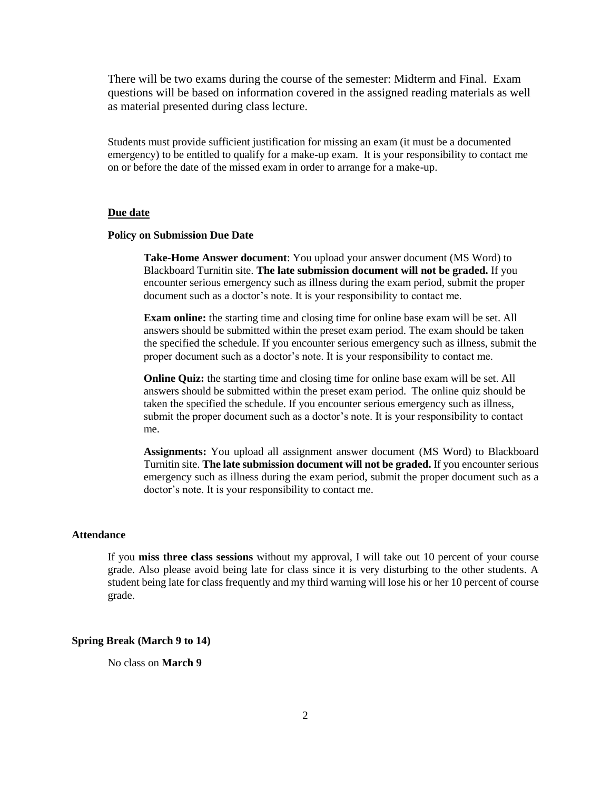There will be two exams during the course of the semester: Midterm and Final. Exam questions will be based on information covered in the assigned reading materials as well as material presented during class lecture.

Students must provide sufficient justification for missing an exam (it must be a documented emergency) to be entitled to qualify for a make-up exam. It is your responsibility to contact me on or before the date of the missed exam in order to arrange for a make-up.

## **Due date**

#### **Policy on Submission Due Date**

**Take-Home Answer document**: You upload your answer document (MS Word) to Blackboard Turnitin site. **The late submission document will not be graded.** If you encounter serious emergency such as illness during the exam period, submit the proper document such as a doctor's note. It is your responsibility to contact me.

**Exam online:** the starting time and closing time for online base exam will be set. All answers should be submitted within the preset exam period. The exam should be taken the specified the schedule. If you encounter serious emergency such as illness, submit the proper document such as a doctor's note. It is your responsibility to contact me.

**Online Quiz:** the starting time and closing time for online base exam will be set. All answers should be submitted within the preset exam period. The online quiz should be taken the specified the schedule. If you encounter serious emergency such as illness, submit the proper document such as a doctor's note. It is your responsibility to contact me.

**Assignments:** You upload all assignment answer document (MS Word) to Blackboard Turnitin site. **The late submission document will not be graded.** If you encounter serious emergency such as illness during the exam period, submit the proper document such as a doctor's note. It is your responsibility to contact me.

### **Attendance**

If you **miss three class sessions** without my approval, I will take out 10 percent of your course grade. Also please avoid being late for class since it is very disturbing to the other students. A student being late for class frequently and my third warning will lose his or her 10 percent of course grade.

## **Spring Break (March 9 to 14)**

No class on **March 9**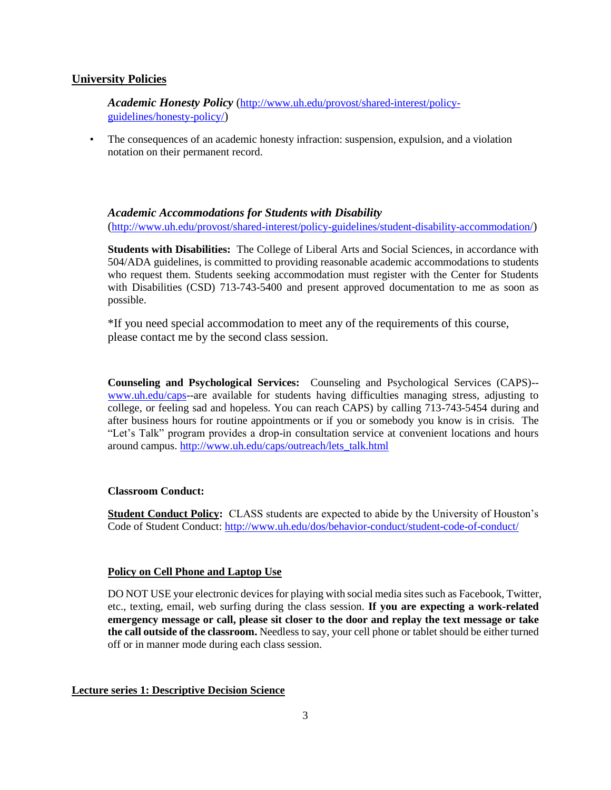# **University Policies**

*Academic Honesty Policy* ([http://www.uh.edu/provost/shared-interest/policy](http://www.uh.edu/provost/shared-interest/policy-guidelines/honesty-policy/)[guidelines/honesty-policy/](http://www.uh.edu/provost/shared-interest/policy-guidelines/honesty-policy/))

• The consequences of an academic honesty infraction: suspension, expulsion, and a violation notation on their permanent record.

# *Academic Accommodations for Students with Disability*

(<http://www.uh.edu/provost/shared-interest/policy-guidelines/student-disability-accommodation/>)

**Students with Disabilities:** The College of Liberal Arts and Social Sciences, in accordance with 504/ADA guidelines, is committed to providing reasonable academic accommodations to students who request them. Students seeking accommodation must register with the Center for Students with Disabilities (CSD) 713-743-5400 and present approved documentation to me as soon as possible.

\*If you need special accommodation to meet any of the requirements of this course, please contact me by the second class session.

**Counseling and Psychological Services:** Counseling and Psychological Services (CAPS)- [www.uh.edu/caps-](http://www.uh.edu/caps)-are available for students having difficulties managing stress, adjusting to college, or feeling sad and hopeless. You can reach CAPS) by calling 713-743-5454 during and after business hours for routine appointments or if you or somebody you know is in crisis. The "Let's Talk" program provides a drop-in consultation service at convenient locations and hours around campus. [http://www.uh.edu/caps/outreach/lets\\_talk.html](http://www.uh.edu/caps/outreach/lets_talk.html)

# **Classroom Conduct:**

**Student Conduct Policy:** CLASS students are expected to abide by the University of Houston's Code of Student Conduct:<http://www.uh.edu/dos/behavior-conduct/student-code-of-conduct/>

# **Policy on Cell Phone and Laptop Use**

DO NOT USE your electronic devices for playing with social media sites such as Facebook, Twitter, etc., texting, email, web surfing during the class session. **If you are expecting a work-related emergency message or call, please sit closer to the door and replay the text message or take the call outside of the classroom.** Needless to say, your cell phone or tablet should be either turned off or in manner mode during each class session.

## **Lecture series 1: Descriptive Decision Science**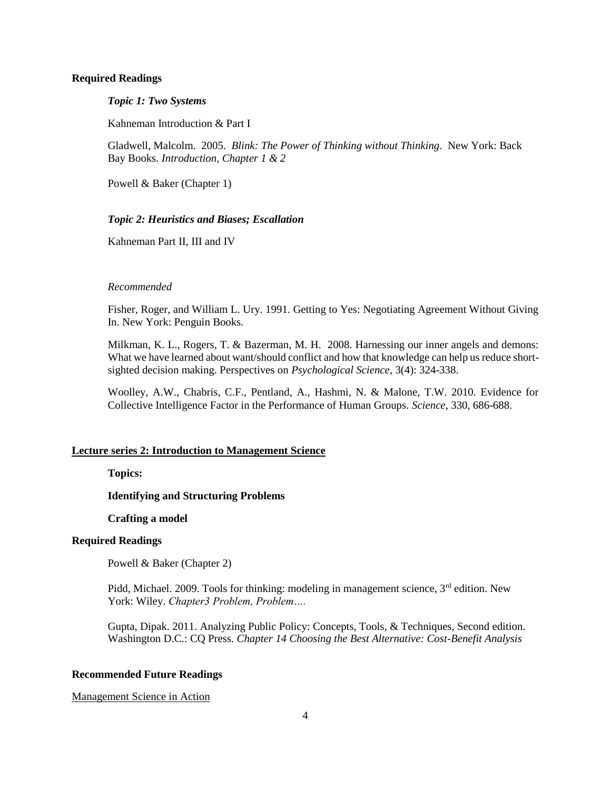### **Required Readings**

### *Topic 1: Two Systems*

Kahneman Introduction & Part I

Gladwell, Malcolm. 2005. *Blink: The Power of Thinking without Thinking*. New York: Back Bay Books. *Introduction, Chapter 1 & 2*

Powell & Baker (Chapter 1)

# *Topic 2: Heuristics and Biases; Escallation*

Kahneman Part II, III and IV

#### *Recommended*

Fisher, Roger, and William L. Ury. 1991. Getting to Yes: Negotiating Agreement Without Giving In. New York: Penguin Books.

Milkman, K. L., Rogers, T. & Bazerman, M. H. 2008. Harnessing our inner angels and demons: What we have learned about want/should conflict and how that knowledge can help us reduce shortsighted decision making. Perspectives on *Psychological Science*, 3(4): 324-338.

Woolley, A.W., Chabris, C.F., Pentland, A., Hashmi, N. & Malone, T.W. 2010. Evidence for Collective Intelligence Factor in the Performance of Human Groups. *Science*, 330, 686-688.

## **Lecture series 2: Introduction to Management Science**

**Topics:**

# **Identifying and Structuring Problems**

## **Crafting a model**

## **Required Readings**

Powell & Baker (Chapter 2)

Pidd, Michael. 2009. Tools for thinking: modeling in management science,  $3<sup>rd</sup>$  edition. New York: Wiley. *Chapter3 Problem, Problem….*

Gupta, Dipak. 2011. Analyzing Public Policy: Concepts, Tools, & Techniques, Second edition. Washington D.C.: CQ Press. *Chapter 14 Choosing the Best Alternative: Cost-Benefit Analysis*

#### **Recommended Future Readings**

## Management Science in Action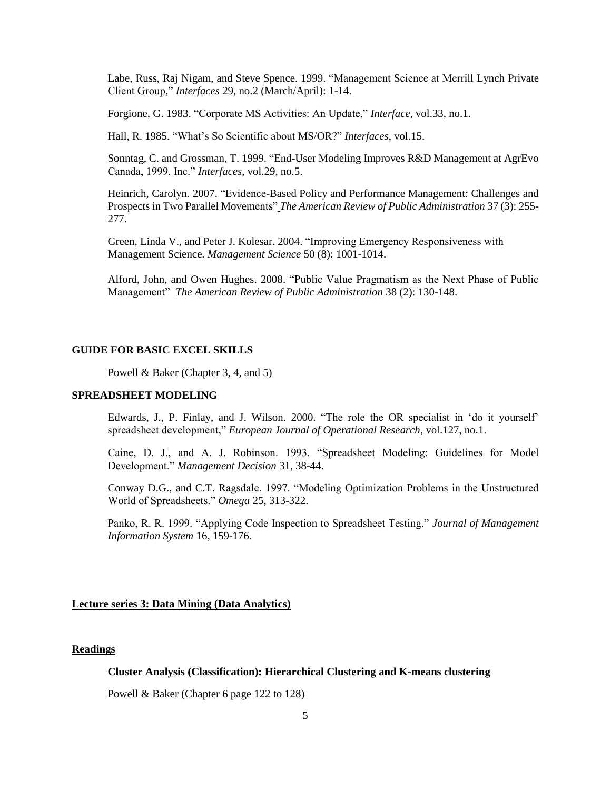Labe, Russ, Raj Nigam, and Steve Spence. 1999. "Management Science at Merrill Lynch Private Client Group," *Interfaces* 29, no.2 (March/April): 1-14.

Forgione, G. 1983. "Corporate MS Activities: An Update," *Interface*, vol.33, no.1.

Hall, R. 1985. "What's So Scientific about MS/OR?" *Interfaces*, vol.15.

Sonntag, C. and Grossman, T. 1999. "End-User Modeling Improves R&D Management at AgrEvo Canada, 1999. Inc." *Interfaces*, vol.29, no.5.

Heinrich, Carolyn. 2007. "Evidence-Based Policy and Performance Management: Challenges and Prospects in Two Parallel Movements" *The American Review of Public Administration* 37 (3): 255- 277.

Green, Linda V., and Peter J. Kolesar. 2004. "Improving Emergency Responsiveness with Management Science. *Management Science* 50 (8): 1001-1014.

Alford, John, and Owen Hughes. 2008. "Public Value Pragmatism as the Next Phase of Public Management" *The American Review of Public Administration* 38 (2): 130-148.

#### **GUIDE FOR BASIC EXCEL SKILLS**

Powell & Baker (Chapter 3, 4, and 5)

#### **SPREADSHEET MODELING**

Edwards, J., P. Finlay, and J. Wilson. 2000. "The role the OR specialist in 'do it yourself' spreadsheet development," *European Journal of Operational Research*, vol.127, no.1.

Caine, D. J., and A. J. Robinson. 1993. "Spreadsheet Modeling: Guidelines for Model Development." *Management Decision* 31, 38-44.

Conway D.G., and C.T. Ragsdale. 1997. "Modeling Optimization Problems in the Unstructured World of Spreadsheets." *Omega* 25, 313-322.

Panko, R. R. 1999. "Applying Code Inspection to Spreadsheet Testing." *Journal of Management Information System* 16, 159-176.

## **Lecture series 3: Data Mining (Data Analytics)**

### **Readings**

## **Cluster Analysis (Classification): Hierarchical Clustering and K-means clustering**

Powell & Baker (Chapter 6 page 122 to 128)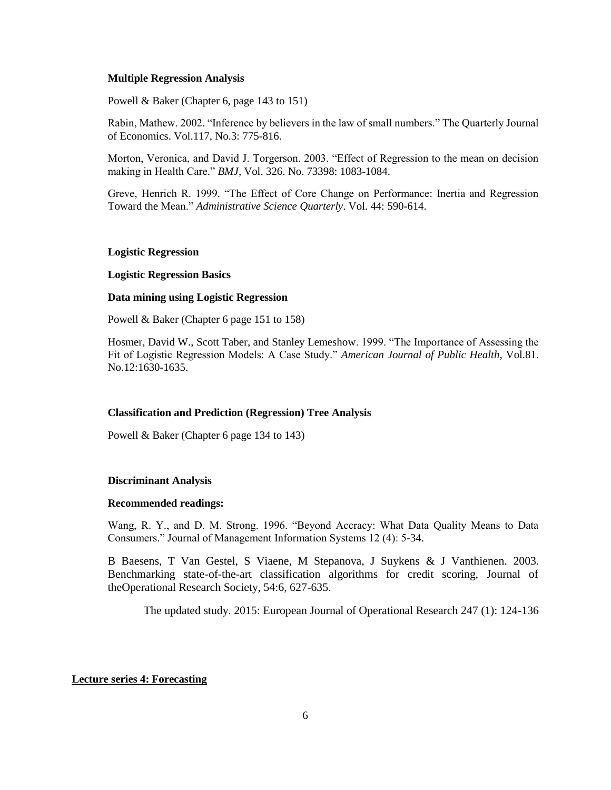#### **Multiple Regression Analysis**

Powell & Baker (Chapter 6, page 143 to 151)

Rabin, Mathew. 2002. "Inference by believers in the law of small numbers." The Quarterly Journal of Economics. Vol.117, No.3: 775-816.

Morton, Veronica, and David J. Torgerson. 2003. "Effect of Regression to the mean on decision making in Health Care." *BMJ*, Vol. 326. No. 73398: 1083-1084.

Greve, Henrich R. 1999. "The Effect of Core Change on Performance: Inertia and Regression Toward the Mean." *Administrative Science Quarterly*. Vol. 44: 590-614.

#### **Logistic Regression**

## **Logistic Regression Basics**

#### **Data mining using Logistic Regression**

Powell & Baker (Chapter 6 page 151 to 158)

Hosmer, David W., Scott Taber, and Stanley Lemeshow. 1999. "The Importance of Assessing the Fit of Logistic Regression Models: A Case Study." *American Journal of Public Health*, Vol.81. No.12:1630-1635.

#### **Classification and Prediction (Regression) Tree Analysis**

Powell & Baker (Chapter 6 page 134 to 143)

#### **Discriminant Analysis**

#### **Recommended readings:**

Wang, R. Y., and D. M. Strong. 1996. "Beyond Accracy: What Data Quality Means to Data Consumers." Journal of Management Information Systems 12 (4): 5-34.

B Baesens, T Van Gestel, S Viaene, M Stepanova, J Suykens & J Vanthienen. 2003. Benchmarking state-of-the-art classification algorithms for credit scoring, Journal of theOperational Research Society, 54:6, 627-635.

The updated study. 2015: European Journal of Operational Research 247 (1): 124-136

#### **Lecture series 4: Forecasting**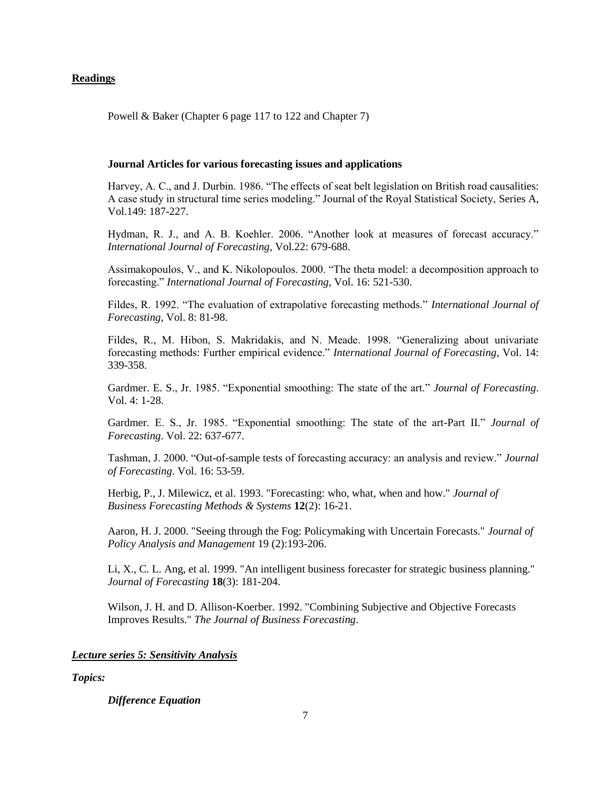## **Readings**

Powell & Baker (Chapter 6 page 117 to 122 and Chapter 7)

## **Journal Articles for various forecasting issues and applications**

Harvey, A. C., and J. Durbin. 1986. "The effects of seat belt legislation on British road causalities: A case study in structural time series modeling." Journal of the Royal Statistical Society, Series A, Vol.149: 187-227.

Hydman, R. J., and A. B. Koehler. 2006. "Another look at measures of forecast accuracy." *International Journal of Forecasting*, Vol.22: 679-688.

Assimakopoulos, V., and K. Nikolopoulos. 2000. "The theta model: a decomposition approach to forecasting." *International Journal of Forecasting*, Vol. 16: 521-530.

Fildes, R. 1992. "The evaluation of extrapolative forecasting methods." *International Journal of Forecasting*, Vol. 8: 81-98.

Fildes, R., M. Hibon, S. Makridakis, and N. Meade. 1998. "Generalizing about univariate forecasting methods: Further empirical evidence." *International Journal of Forecasting*, Vol. 14: 339-358.

Gardmer. E. S., Jr. 1985. "Exponential smoothing: The state of the art." *Journal of Forecasting*. Vol. 4: 1-28.

Gardmer. E. S., Jr. 1985. "Exponential smoothing: The state of the art-Part II." *Journal of Forecasting*. Vol. 22: 637-677.

Tashman, J. 2000. "Out-of-sample tests of forecasting accuracy: an analysis and review." *Journal of Forecasting*. Vol. 16: 53-59.

Herbig, P., J. Milewicz, et al. 1993. "Forecasting: who, what, when and how." *Journal of Business Forecasting Methods & Systems* **12**(2): 16-21.

Aaron, H. J. 2000. "Seeing through the Fog: Policymaking with Uncertain Forecasts." *Journal of Policy Analysis and Management* 19 (2):193-206.

Li, X., C. L. Ang, et al. 1999. "An intelligent business forecaster for strategic business planning." *Journal of Forecasting* **18**(3): 181-204.

Wilson, J. H. and D. Allison-Koerber. 1992. "Combining Subjective and Objective Forecasts Improves Results." *The Journal of Business Forecasting*.

## *Lecture series 5: Sensitivity Analysis*

*Topics:*

## *Difference Equation*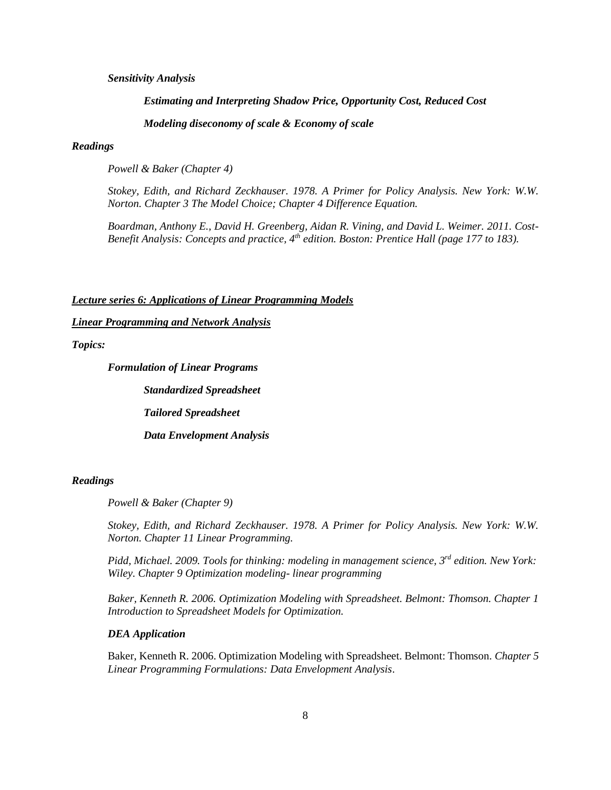## *Sensitivity Analysis*

*Estimating and Interpreting Shadow Price, Opportunity Cost, Reduced Cost Modeling diseconomy of scale & Economy of scale* 

## *Readings*

*Powell & Baker (Chapter 4)*

*Stokey, Edith, and Richard Zeckhauser. 1978. A Primer for Policy Analysis. New York: W.W. Norton. Chapter 3 The Model Choice; Chapter 4 Difference Equation.*

*Boardman, Anthony E., David H. Greenberg, Aidan R. Vining, and David L. Weimer. 2011. Cost-Benefit Analysis: Concepts and practice, 4th edition. Boston: Prentice Hall (page 177 to 183).*

*Lecture series 6: Applications of Linear Programming Models*

## *Linear Programming and Network Analysis*

## *Topics:*

*Formulation of Linear Programs*

*Standardized Spreadsheet*

*Tailored Spreadsheet*

*Data Envelopment Analysis*

## *Readings*

*Powell & Baker (Chapter 9)*

*Stokey, Edith, and Richard Zeckhauser. 1978. A Primer for Policy Analysis. New York: W.W. Norton. Chapter 11 Linear Programming.*

*Pidd, Michael. 2009. Tools for thinking: modeling in management science, 3rd edition. New York: Wiley. Chapter 9 Optimization modeling- linear programming*

*Baker, Kenneth R. 2006. Optimization Modeling with Spreadsheet. Belmont: Thomson. Chapter 1 Introduction to Spreadsheet Models for Optimization.*

#### *DEA Application*

Baker, Kenneth R. 2006. Optimization Modeling with Spreadsheet. Belmont: Thomson. *Chapter 5 Linear Programming Formulations: Data Envelopment Analysis*.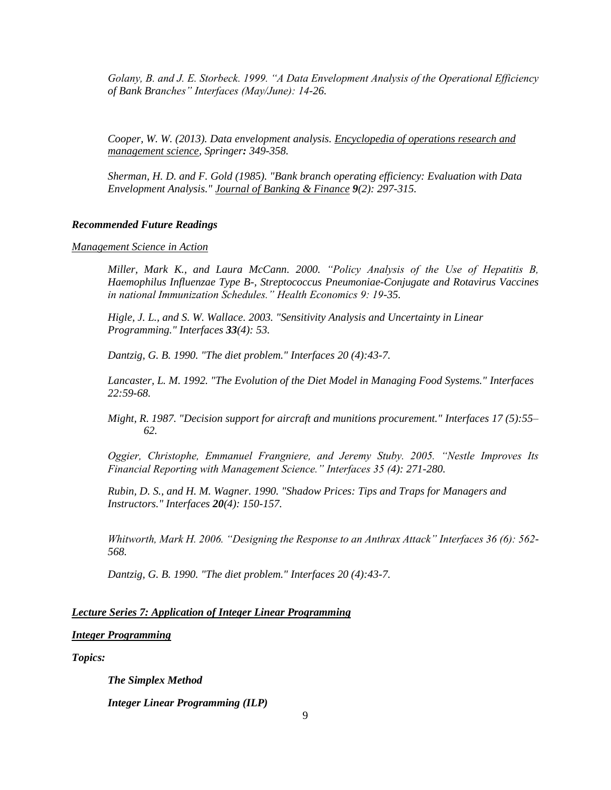*Golany, B. and J. E. Storbeck. 1999. "A Data Envelopment Analysis of the Operational Efficiency of Bank Branches" Interfaces (May/June): 14-26.*

*Cooper, W. W. (2013). Data envelopment analysis. Encyclopedia of operations research and management science, Springer: 349-358.*

*Sherman, H. D. and F. Gold (1985). "Bank branch operating efficiency: Evaluation with Data Envelopment Analysis." Journal of Banking & Finance 9(2): 297-315.*

### *Recommended Future Readings*

*Management Science in Action*

*Miller, Mark K., and Laura McCann. 2000. "Policy Analysis of the Use of Hepatitis B, Haemophilus Influenzae Type B-, Streptococcus Pneumoniae-Conjugate and Rotavirus Vaccines in national Immunization Schedules." Health Economics 9: 19-35.*

*Higle, J. L., and S. W. Wallace. 2003. "Sensitivity Analysis and Uncertainty in Linear Programming." Interfaces 33(4): 53.*

*Dantzig, G. B. 1990. "The diet problem." Interfaces 20 (4):43-7.*

*Lancaster, L. M. 1992. "The Evolution of the Diet Model in Managing Food Systems." Interfaces 22:59-68.*

*Might, R. 1987. "Decision support for aircraft and munitions procurement." Interfaces 17 (5):55– 62.*

*Oggier, Christophe, Emmanuel Frangniere, and Jeremy Stuby. 2005. "Nestle Improves Its Financial Reporting with Management Science." Interfaces 35 (4): 271-280.*

*Rubin, D. S., and H. M. Wagner. 1990. "Shadow Prices: Tips and Traps for Managers and Instructors." Interfaces 20(4): 150-157.*

*Whitworth, Mark H. 2006. "Designing the Response to an Anthrax Attack" Interfaces 36 (6): 562- 568.* 

*Dantzig, G. B. 1990. "The diet problem." Interfaces 20 (4):43-7.*

## *Lecture Series 7: Application of Integer Linear Programming*

## *Integer Programming*

*Topics:*

*The Simplex Method* 

*Integer Linear Programming (ILP)*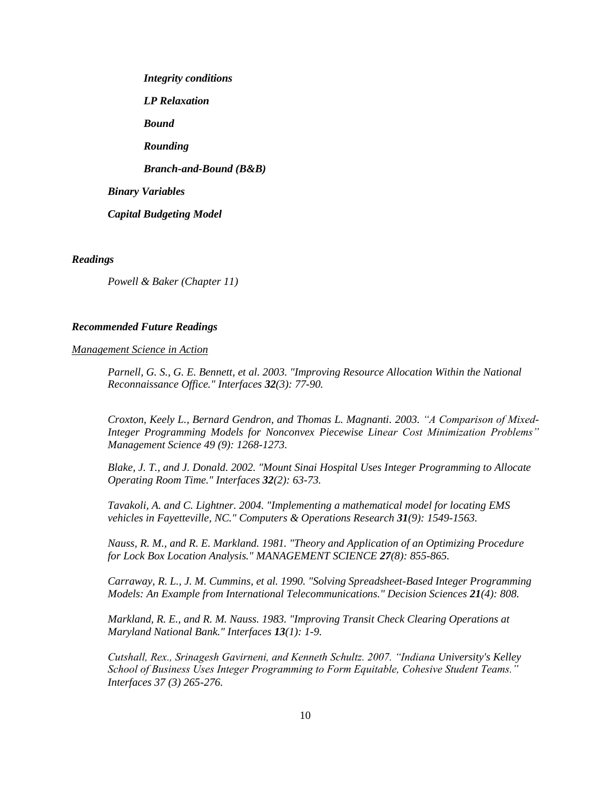*Integrity conditions LP Relaxation Bound Rounding Branch-and-Bound (B&B) Binary Variables Capital Budgeting Model*

### *Readings*

*Powell & Baker (Chapter 11)*

#### *Recommended Future Readings*

*Management Science in Action*

*Parnell, G. S., G. E. Bennett, et al. 2003. "Improving Resource Allocation Within the National Reconnaissance Office." Interfaces 32(3): 77-90.*

*Croxton, Keely L., Bernard Gendron, and Thomas L. Magnanti. 2003. "A Comparison of Mixed-Integer Programming Models for Nonconvex Piecewise Linear Cost Minimization Problems" Management Science 49 (9): 1268-1273.*

*Blake, J. T., and J. Donald. 2002. "Mount Sinai Hospital Uses Integer Programming to Allocate Operating Room Time." Interfaces 32(2): 63-73.*

*Tavakoli, A. and C. Lightner. 2004. "Implementing a mathematical model for locating EMS vehicles in Fayetteville, NC." Computers & Operations Research 31(9): 1549-1563.*

*Nauss, R. M., and R. E. Markland. 1981. "Theory and Application of an Optimizing Procedure for Lock Box Location Analysis." MANAGEMENT SCIENCE 27(8): 855-865.*

*Carraway, R. L., J. M. Cummins, et al. 1990. "Solving Spreadsheet-Based Integer Programming Models: An Example from International Telecommunications." Decision Sciences 21(4): 808.*

*Markland, R. E., and R. M. Nauss. 1983. "Improving Transit Check Clearing Operations at Maryland National Bank." Interfaces 13(1): 1-9.*

*Cutshall, Rex., Srinagesh Gavirneni, and Kenneth Schultz. 2007. "Indiana University's Kelley School of Business Uses Integer Programming to Form Equitable, Cohesive Student Teams." Interfaces 37 (3) 265-276.*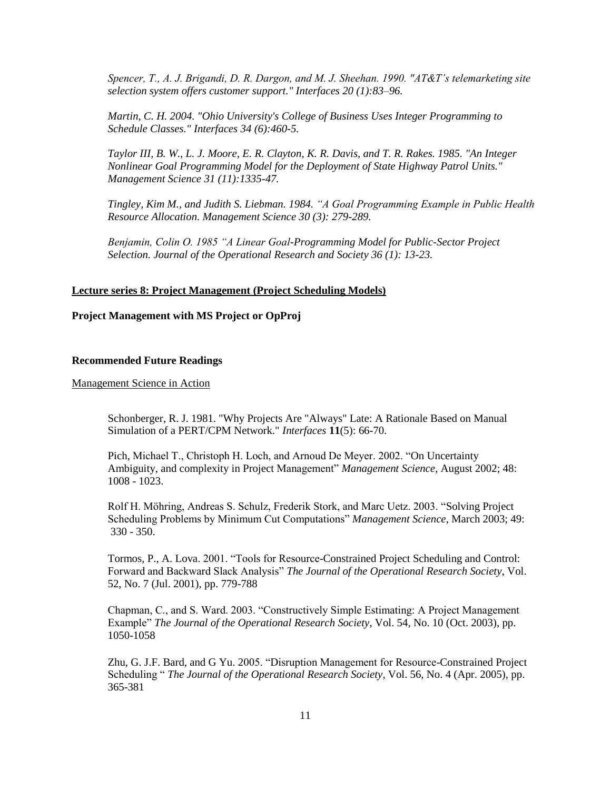*Spencer, T., A. J. Brigandi, D. R. Dargon, and M. J. Sheehan. 1990. "AT&T's telemarketing site selection system offers customer support." Interfaces 20 (1):83–96.*

*Martin, C. H. 2004. "Ohio University's College of Business Uses Integer Programming to Schedule Classes." Interfaces 34 (6):460-5.*

*Taylor III, B. W., L. J. Moore, E. R. Clayton, K. R. Davis, and T. R. Rakes. 1985. "An Integer Nonlinear Goal Programming Model for the Deployment of State Highway Patrol Units." Management Science 31 (11):1335-47.*

*Tingley, Kim M., and Judith S. Liebman. 1984. "A Goal Programming Example in Public Health Resource Allocation. Management Science 30 (3): 279-289.*

*Benjamin, Colin O. 1985 "A Linear Goal-Programming Model for Public-Sector Project Selection. Journal of the Operational Research and Society 36 (1): 13-23.*

## **Lecture series 8: Project Management (Project Scheduling Models)**

## **Project Management with MS Project or OpProj**

#### **Recommended Future Readings**

Management Science in Action

Schonberger, R. J. 1981. "Why Projects Are "Always" Late: A Rationale Based on Manual Simulation of a PERT/CPM Network." *Interfaces* **11**(5): 66-70.

Pich, Michael T., Christoph H. Loch, and Arnoud De Meyer. 2002. "On Uncertainty Ambiguity, and complexity in Project Management" *Management Science*, August 2002; 48: 1008 - 1023.

Rolf H. Möhring, Andreas S. Schulz, Frederik Stork, and Marc Uetz. 2003. "Solving Project Scheduling Problems by Minimum Cut Computations" *Management Science*, March 2003; 49: 330 - 350.

[Tormos,](http://www.jstor.org.ezproxy.lib.uh.edu/action/doBasicSearch?Query=au%3A%22P.+Tormos%22&wc=on) P., [A. Lova.](http://www.jstor.org.ezproxy.lib.uh.edu/action/doBasicSearch?Query=au%3A%22A.+Lova%22&wc=on) 2001. "Tools for Resource-Constrained Project Scheduling and Control: Forward and Backward Slack Analysis" *The Journal of the Operational Research Society*, Vol. 52, No. 7 (Jul. 2001), pp. 779-788

Chapman, C., and S. Ward. 2003. "Constructively Simple Estimating: A Project Management Example" *The Journal of the Operational Research Society*, Vol. 54, No. 10 (Oct. 2003), pp. 1050-1058

Zhu, G. J.F. Bard, and G Yu. 2005. "Disruption Management for Resource-Constrained Project Scheduling " *The Journal of the Operational Research Society*, Vol. 56, No. 4 (Apr. 2005), pp. 365-381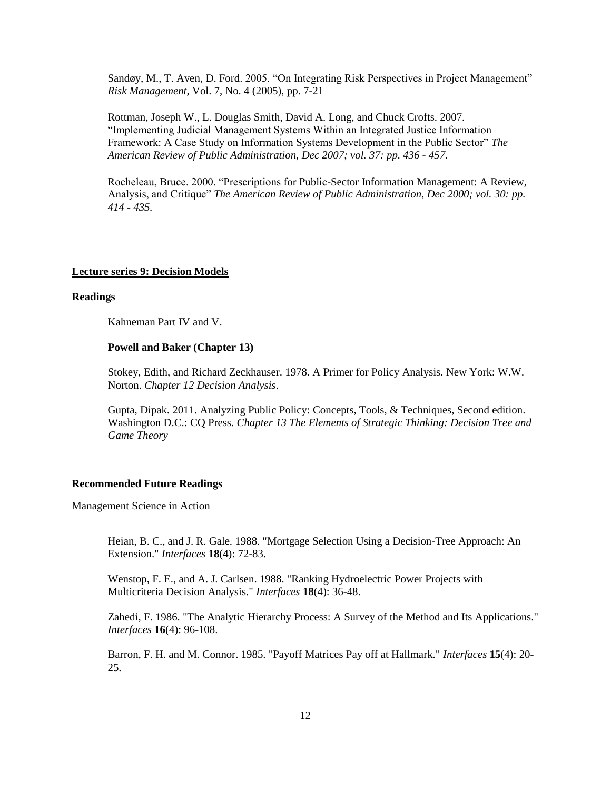[Sandøy,](http://www.jstor.org.ezproxy.lib.uh.edu/action/doBasicSearch?Query=au%3A%22M.+Sand%C3%B8y%22&wc=on) M., [T. Aven,](http://www.jstor.org.ezproxy.lib.uh.edu/action/doBasicSearch?Query=au%3A%22T.+Aven%22&wc=on) [D. Ford.](http://www.jstor.org.ezproxy.lib.uh.edu/action/doBasicSearch?Query=au%3A%22D.+Ford%22&wc=on) 2005. "On Integrating Risk Perspectives in Project Management" *Risk Management*, Vol. 7, No. 4 (2005), pp. 7-21

Rottman, Joseph W., L. Douglas Smith, David A. Long, and Chuck Crofts. 2007. "Implementing Judicial Management Systems Within an Integrated Justice Information Framework: A Case Study on Information Systems Development in the Public Sector" *The American Review of Public Administration, Dec 2007; vol. 37: pp. 436 - 457.*

Rocheleau, Bruce. 2000. "Prescriptions for Public-Sector Information Management: A Review, Analysis, and Critique" *The American Review of Public Administration, Dec 2000; vol. 30: pp. 414 - 435.*

#### **Lecture series 9: Decision Models**

#### **Readings**

Kahneman Part IV and V.

## **Powell and Baker (Chapter 13)**

Stokey, Edith, and Richard Zeckhauser. 1978. A Primer for Policy Analysis. New York: W.W. Norton. *Chapter 12 Decision Analysis*.

Gupta, Dipak. 2011. Analyzing Public Policy: Concepts, Tools, & Techniques, Second edition. Washington D.C.: CQ Press. *Chapter 13 The Elements of Strategic Thinking: Decision Tree and Game Theory*

## **Recommended Future Readings**

## Management Science in Action

Heian, B. C., and J. R. Gale. 1988. "Mortgage Selection Using a Decision-Tree Approach: An Extension." *Interfaces* **18**(4): 72-83.

Wenstop, F. E., and A. J. Carlsen. 1988. "Ranking Hydroelectric Power Projects with Multicriteria Decision Analysis." *Interfaces* **18**(4): 36-48.

Zahedi, F. 1986. "The Analytic Hierarchy Process: A Survey of the Method and Its Applications." *Interfaces* **16**(4): 96-108.

Barron, F. H. and M. Connor. 1985. "Payoff Matrices Pay off at Hallmark." *Interfaces* **15**(4): 20- 25.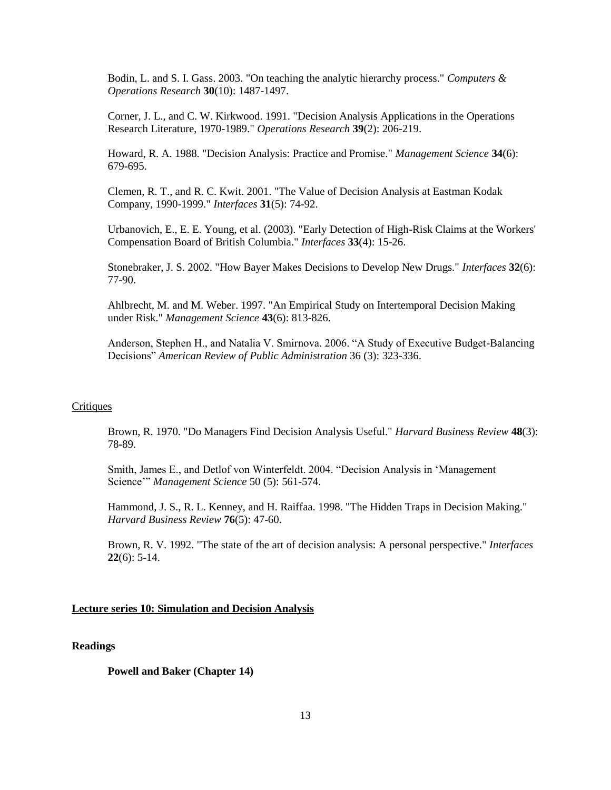Bodin, L. and S. I. Gass. 2003. "On teaching the analytic hierarchy process." *Computers & Operations Research* **30**(10): 1487-1497.

Corner, J. L., and C. W. Kirkwood. 1991. "Decision Analysis Applications in the Operations Research Literature, 1970-1989." *Operations Research* **39**(2): 206-219.

Howard, R. A. 1988. "Decision Analysis: Practice and Promise." *Management Science* **34**(6): 679-695.

Clemen, R. T., and R. C. Kwit. 2001. "The Value of Decision Analysis at Eastman Kodak Company, 1990-1999." *Interfaces* **31**(5): 74-92.

Urbanovich, E., E. E. Young, et al. (2003). "Early Detection of High-Risk Claims at the Workers' Compensation Board of British Columbia." *Interfaces* **33**(4): 15-26.

Stonebraker, J. S. 2002. "How Bayer Makes Decisions to Develop New Drugs." *Interfaces* **32**(6): 77-90.

Ahlbrecht, M. and M. Weber. 1997. "An Empirical Study on Intertemporal Decision Making under Risk." *Management Science* **43**(6): 813-826.

Anderson, Stephen H., and Natalia V. Smirnova. 2006. "A Study of Executive Budget-Balancing Decisions" *American Review of Public Administration* 36 (3): 323-336.

## **Critiques**

Brown, R. 1970. "Do Managers Find Decision Analysis Useful." *Harvard Business Review* **48**(3): 78-89.

Smith, James E., and Detlof von Winterfeldt. 2004. "Decision Analysis in 'Management Science'" *Management Science* 50 (5): 561-574.

Hammond, J. S., R. L. Kenney, and H. Raiffaa. 1998. "The Hidden Traps in Decision Making." *Harvard Business Review* **76**(5): 47-60.

Brown, R. V. 1992. "The state of the art of decision analysis: A personal perspective." *Interfaces* **22**(6): 5-14.

## **Lecture series 10: Simulation and Decision Analysis**

### **Readings**

**Powell and Baker (Chapter 14)**